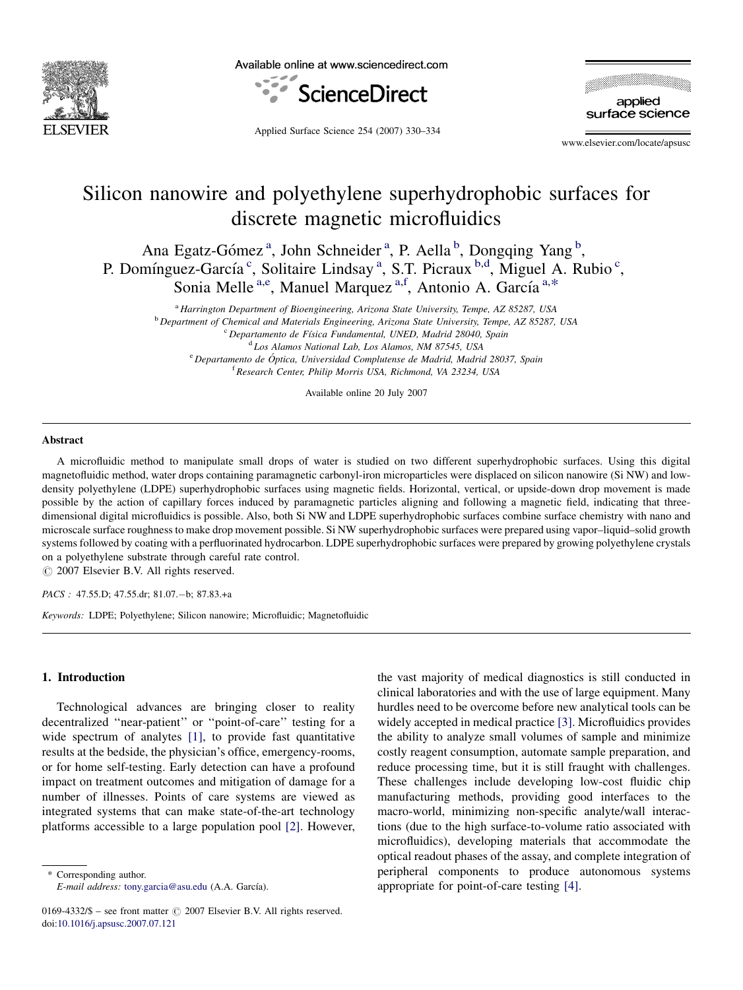

Available online at www.sciencedirect.com



applied surface science

Applied Surface Science 254 (2007) 330–334

www.elsevier.com/locate/apsusc

# Silicon nanowire and polyethylene superhydrophobic surfaces for discrete magnetic microfluidics

Ana Egatz-Gómez<sup>a</sup>, John Schneider<sup>a</sup>, P. Aella<sup>b</sup>, Dongqing Yang<sup>b</sup>, P. Domínguez-García<sup>c</sup>, Solitaire Lindsay<sup>a</sup>, S.T. Picraux<sup>b,d</sup>, Miguel A. Rubio<sup>c</sup>, Sonia Melle<sup>a,e</sup>, Manuel Marquez<sup>a,f</sup>, Antonio A. García<sup>a,\*</sup>

<sup>a</sup> Harrington Department of Bioengineering, Arizona State University, Tempe, AZ 85287, USA

<sup>b</sup> Department of Chemical and Materials Engineering, Arizona State University, Tempe, AZ 85287, USA <sup>c</sup> Departamento de Física Fundamental, UNED, Madrid 28040, Spain

<sup>d</sup> Los Alamos National Lab, Los Alamos, NM 87545, USA

e Departamento de Óptica, Universidad Complutense de Madrid, Madrid 28037, Spain <sup>f</sup> Research Center, Philip Morris USA, Richmond, VA 23234, USA

Available online 20 July 2007

#### Abstract

A microfluidic method to manipulate small drops of water is studied on two different superhydrophobic surfaces. Using this digital magnetofluidic method, water drops containing paramagnetic carbonyl-iron microparticles were displaced on silicon nanowire (Si NW) and lowdensity polyethylene (LDPE) superhydrophobic surfaces using magnetic fields. Horizontal, vertical, or upside-down drop movement is made possible by the action of capillary forces induced by paramagnetic particles aligning and following a magnetic field, indicating that threedimensional digital microfluidics is possible. Also, both Si NW and LDPE superhydrophobic surfaces combine surface chemistry with nano and microscale surface roughness to make drop movement possible. Si NW superhydrophobic surfaces were prepared using vapor–liquid–solid growth systems followed by coating with a perfluorinated hydrocarbon. LDPE superhydrophobic surfaces were prepared by growing polyethylene crystals on a polyethylene substrate through careful rate control.

 $\odot$  2007 Elsevier B.V. All rights reserved.

PACS : 47.55.D; 47.55.dr; 81.07.-b; 87.83.+a

Keywords: LDPE; Polyethylene; Silicon nanowire; Microfluidic; Magnetofluidic

#### 1. Introduction

Technological advances are bringing closer to reality decentralized ''near-patient'' or ''point-of-care'' testing for a wide spectrum of analytes [\[1\],](#page-4-0) to provide fast quantitative results at the bedside, the physician's office, emergency-rooms, or for home self-testing. Early detection can have a profound impact on treatment outcomes and mitigation of damage for a number of illnesses. Points of care systems are viewed as integrated systems that can make state-of-the-art technology platforms accessible to a large population pool [\[2\].](#page-4-0) However,

\* Corresponding author.  $E$ -mail address: [tony.garcia@asu.edu](mailto:tony.garcia@asu.edu) (A.A. García). the vast majority of medical diagnostics is still conducted in clinical laboratories and with the use of large equipment. Many hurdles need to be overcome before new analytical tools can be widely accepted in medical practice [\[3\].](#page-4-0) Microfluidics provides the ability to analyze small volumes of sample and minimize costly reagent consumption, automate sample preparation, and reduce processing time, but it is still fraught with challenges. These challenges include developing low-cost fluidic chip manufacturing methods, providing good interfaces to the macro-world, minimizing non-specific analyte/wall interactions (due to the high surface-to-volume ratio associated with microfluidics), developing materials that accommodate the optical readout phases of the assay, and complete integration of peripheral components to produce autonomous systems appropriate for point-of-care testing [\[4\].](#page-4-0)

<sup>0169-4332/\$ –</sup> see front matter  $\odot$  2007 Elsevier B.V. All rights reserved. doi[:10.1016/j.apsusc.2007.07.121](http://dx.doi.org/10.1016/j.apsusc.2007.07.121)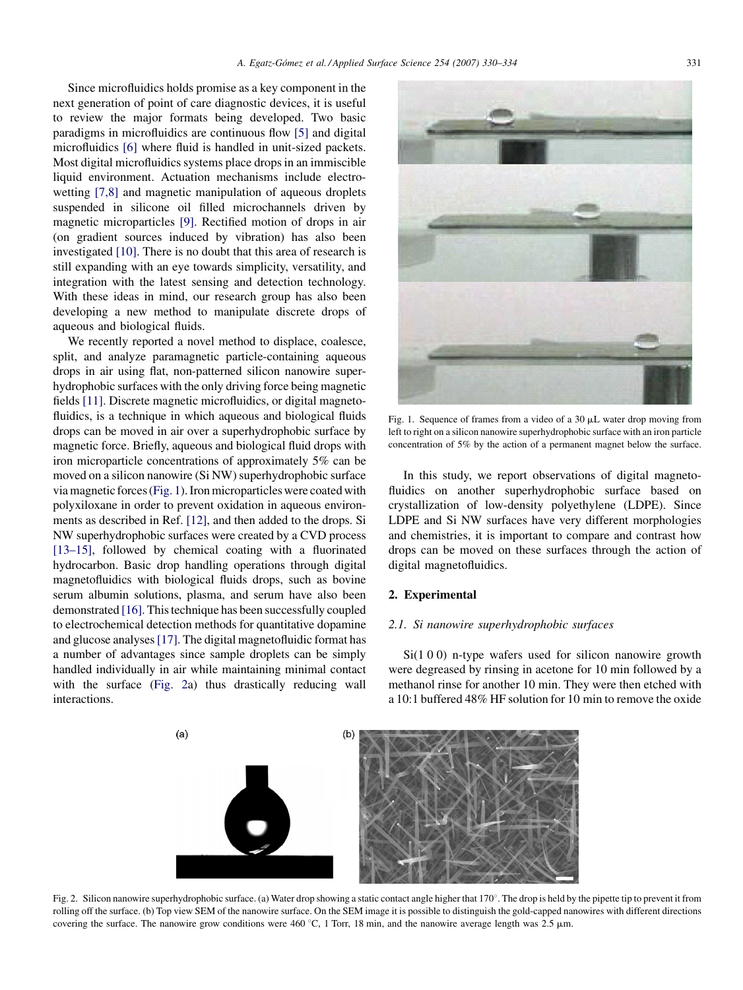<span id="page-1-0"></span>Since microfluidics holds promise as a key component in the next generation of point of care diagnostic devices, it is useful to review the major formats being developed. Two basic paradigms in microfluidics are continuous flow [\[5\]](#page-4-0) and digital microfluidics [\[6\]](#page-4-0) where fluid is handled in unit-sized packets. Most digital microfluidics systems place drops in an immiscible liquid environment. Actuation mechanisms include electrowetting [\[7,8\]](#page-4-0) and magnetic manipulation of aqueous droplets suspended in silicone oil filled microchannels driven by magnetic microparticles [\[9\].](#page-4-0) Rectified motion of drops in air (on gradient sources induced by vibration) has also been investigated [\[10\].](#page-4-0) There is no doubt that this area of research is still expanding with an eye towards simplicity, versatility, and integration with the latest sensing and detection technology. With these ideas in mind, our research group has also been developing a new method to manipulate discrete drops of aqueous and biological fluids.

We recently reported a novel method to displace, coalesce, split, and analyze paramagnetic particle-containing aqueous drops in air using flat, non-patterned silicon nanowire superhydrophobic surfaces with the only driving force being magnetic fields [\[11\].](#page-4-0) Discrete magnetic microfluidics, or digital magnetofluidics, is a technique in which aqueous and biological fluids drops can be moved in air over a superhydrophobic surface by magnetic force. Briefly, aqueous and biological fluid drops with iron microparticle concentrations of approximately 5% can be moved on a silicon nanowire (Si NW) superhydrophobic surface via magnetic forces (Fig. 1). Iron microparticles were coated with polyxiloxane in order to prevent oxidation in aqueous environments as described in Ref. [\[12\],](#page-4-0) and then added to the drops. Si NW superhydrophobic surfaces were created by a CVD process [\[13–15\],](#page-4-0) followed by chemical coating with a fluorinated hydrocarbon. Basic drop handling operations through digital magnetofluidics with biological fluids drops, such as bovine serum albumin solutions, plasma, and serum have also been demonstrated [\[16\].](#page-4-0) This technique has been successfully coupled to electrochemical detection methods for quantitative dopamine and glucose analyses[\[17\]](#page-4-0). The digital magnetofluidic format has a number of advantages since sample droplets can be simply handled individually in air while maintaining minimal contact with the surface (Fig. 2a) thus drastically reducing wall interactions.



Fig. 1. Sequence of frames from a video of a  $30 \mu L$  water drop moving from left to right on a silicon nanowire superhydrophobic surface with an iron particle concentration of 5% by the action of a permanent magnet below the surface.

In this study, we report observations of digital magnetofluidics on another superhydrophobic surface based on crystallization of low-density polyethylene (LDPE). Since LDPE and Si NW surfaces have very different morphologies and chemistries, it is important to compare and contrast how drops can be moved on these surfaces through the action of digital magnetofluidics.

### 2. Experimental

### 2.1. Si nanowire superhydrophobic surfaces

Si(1 0 0) n-type wafers used for silicon nanowire growth were degreased by rinsing in acetone for 10 min followed by a methanol rinse for another 10 min. They were then etched with a 10:1 buffered 48% HF solution for 10 min to remove the oxide



Fig. 2. Silicon nanowire superhydrophobic surface. (a) Water drop showing a static contact angle higher that 170°. The drop is held by the pipette tip to prevent it from rolling off the surface. (b) Top view SEM of the nanowire surface. On the SEM image it is possible to distinguish the gold-capped nanowires with different directions covering the surface. The nanowire grow conditions were  $460^{\circ}$ C, 1 Torr, 18 min, and the nanowire average length was 2.5  $\mu$ m.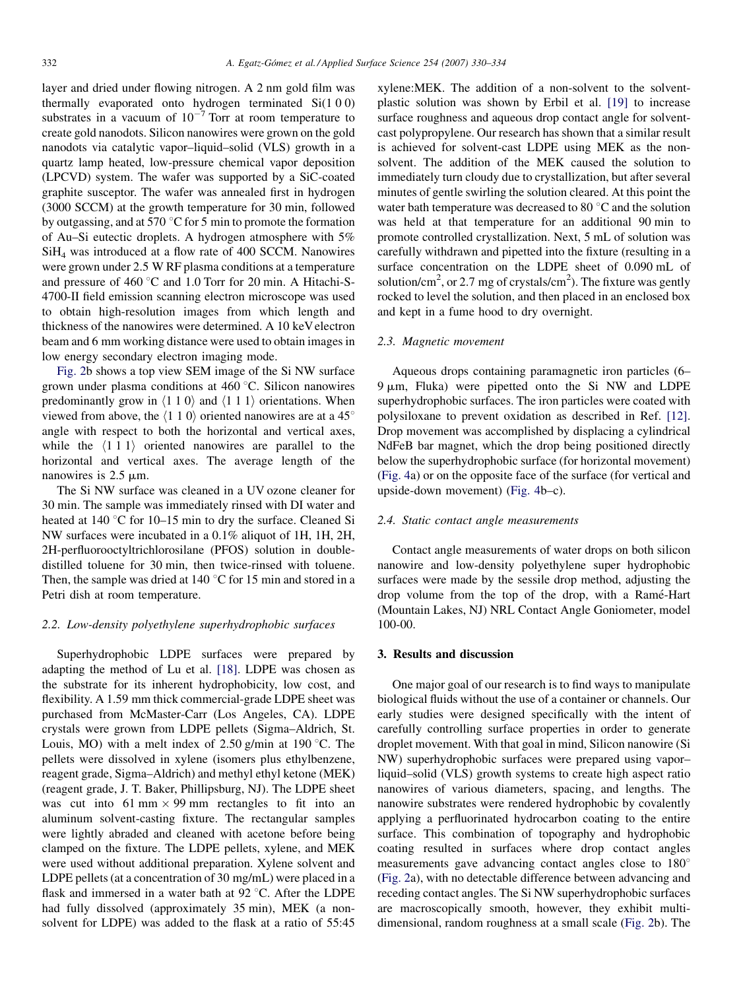layer and dried under flowing nitrogen. A 2 nm gold film was thermally evaporated onto hydrogen terminated Si(1 0 0) substrates in a vacuum of  $10^{-7}$  Torr at room temperature to create gold nanodots. Silicon nanowires were grown on the gold nanodots via catalytic vapor–liquid–solid (VLS) growth in a quartz lamp heated, low-pressure chemical vapor deposition (LPCVD) system. The wafer was supported by a SiC-coated graphite susceptor. The wafer was annealed first in hydrogen (3000 SCCM) at the growth temperature for 30 min, followed by outgassing, and at 570  $\degree$ C for 5 min to promote the formation of Au–Si eutectic droplets. A hydrogen atmosphere with 5% SiH4 was introduced at a flow rate of 400 SCCM. Nanowires were grown under 2.5 W RF plasma conditions at a temperature and pressure of 460  $\degree$ C and 1.0 Torr for 20 min. A Hitachi-S-4700-II field emission scanning electron microscope was used to obtain high-resolution images from which length and thickness of the nanowires were determined. A 10 keV electron beam and 6 mm working distance were used to obtain images in low energy secondary electron imaging mode.

[Fig. 2](#page-1-0)b shows a top view SEM image of the Si NW surface grown under plasma conditions at 460 °C. Silicon nanowires predominantly grow in  $\langle 1 1 0 \rangle$  and  $\langle 1 1 1 \rangle$  orientations. When viewed from above, the  $\langle 110 \rangle$  oriented nanowires are at a 45° angle with respect to both the horizontal and vertical axes, while the  $\langle 111 \rangle$  oriented nanowires are parallel to the horizontal and vertical axes. The average length of the nanowires is  $2.5 \mu m$ .

The Si NW surface was cleaned in a UV ozone cleaner for 30 min. The sample was immediately rinsed with DI water and heated at  $140\text{ °C}$  for  $10-15$  min to dry the surface. Cleaned Si NW surfaces were incubated in a 0.1% aliquot of 1H, 1H, 2H, 2H-perfluorooctyltrichlorosilane (PFOS) solution in doubledistilled toluene for 30 min, then twice-rinsed with toluene. Then, the sample was dried at  $140\degree$ C for 15 min and stored in a Petri dish at room temperature.

#### 2.2. Low-density polyethylene superhydrophobic surfaces

Superhydrophobic LDPE surfaces were prepared by adapting the method of Lu et al. [\[18\]](#page-4-0). LDPE was chosen as the substrate for its inherent hydrophobicity, low cost, and flexibility. A 1.59 mm thick commercial-grade LDPE sheet was purchased from McMaster-Carr (Los Angeles, CA). LDPE crystals were grown from LDPE pellets (Sigma–Aldrich, St. Louis, MO) with a melt index of  $2.50$  g/min at 190 °C. The pellets were dissolved in xylene (isomers plus ethylbenzene, reagent grade, Sigma–Aldrich) and methyl ethyl ketone (MEK) (reagent grade, J. T. Baker, Phillipsburg, NJ). The LDPE sheet was cut into 61 mm  $\times$  99 mm rectangles to fit into an aluminum solvent-casting fixture. The rectangular samples were lightly abraded and cleaned with acetone before being clamped on the fixture. The LDPE pellets, xylene, and MEK were used without additional preparation. Xylene solvent and LDPE pellets (at a concentration of 30 mg/mL) were placed in a flask and immersed in a water bath at  $92 \degree C$ . After the LDPE had fully dissolved (approximately 35 min), MEK (a nonsolvent for LDPE) was added to the flask at a ratio of 55:45 xylene:MEK. The addition of a non-solvent to the solventplastic solution was shown by Erbil et al. [\[19\]](#page-4-0) to increase surface roughness and aqueous drop contact angle for solventcast polypropylene. Our research has shown that a similar result is achieved for solvent-cast LDPE using MEK as the nonsolvent. The addition of the MEK caused the solution to immediately turn cloudy due to crystallization, but after several minutes of gentle swirling the solution cleared. At this point the water bath temperature was decreased to 80 $\degree$ C and the solution was held at that temperature for an additional 90 min to promote controlled crystallization. Next, 5 mL of solution was carefully withdrawn and pipetted into the fixture (resulting in a surface concentration on the LDPE sheet of 0.090 mL of solution/cm<sup>2</sup>, or 2.7 mg of crystals/cm<sup>2</sup>). The fixture was gently rocked to level the solution, and then placed in an enclosed box and kept in a fume hood to dry overnight.

#### 2.3. Magnetic movement

Aqueous drops containing paramagnetic iron particles (6–  $9 \mu m$ , Fluka) were pipetted onto the Si NW and LDPE superhydrophobic surfaces. The iron particles were coated with polysiloxane to prevent oxidation as described in Ref. [\[12\]](#page-4-0). Drop movement was accomplished by displacing a cylindrical NdFeB bar magnet, which the drop being positioned directly below the superhydrophobic surface (for horizontal movement) [\(Fig. 4](#page-3-0)a) or on the opposite face of the surface (for vertical and upside-down movement) [\(Fig. 4b](#page-3-0)–c).

#### 2.4. Static contact angle measurements

Contact angle measurements of water drops on both silicon nanowire and low-density polyethylene super hydrophobic surfaces were made by the sessile drop method, adjusting the drop volume from the top of the drop, with a Ramé-Hart (Mountain Lakes, NJ) NRL Contact Angle Goniometer, model 100-00.

#### 3. Results and discussion

One major goal of our research is to find ways to manipulate biological fluids without the use of a container or channels. Our early studies were designed specifically with the intent of carefully controlling surface properties in order to generate droplet movement. With that goal in mind, Silicon nanowire (Si NW) superhydrophobic surfaces were prepared using vapor– liquid–solid (VLS) growth systems to create high aspect ratio nanowires of various diameters, spacing, and lengths. The nanowire substrates were rendered hydrophobic by covalently applying a perfluorinated hydrocarbon coating to the entire surface. This combination of topography and hydrophobic coating resulted in surfaces where drop contact angles measurements gave advancing contact angles close to  $180^\circ$ [\(Fig. 2](#page-1-0)a), with no detectable difference between advancing and receding contact angles. The Si NW superhydrophobic surfaces are macroscopically smooth, however, they exhibit multidimensional, random roughness at a small scale [\(Fig. 2b](#page-1-0)). The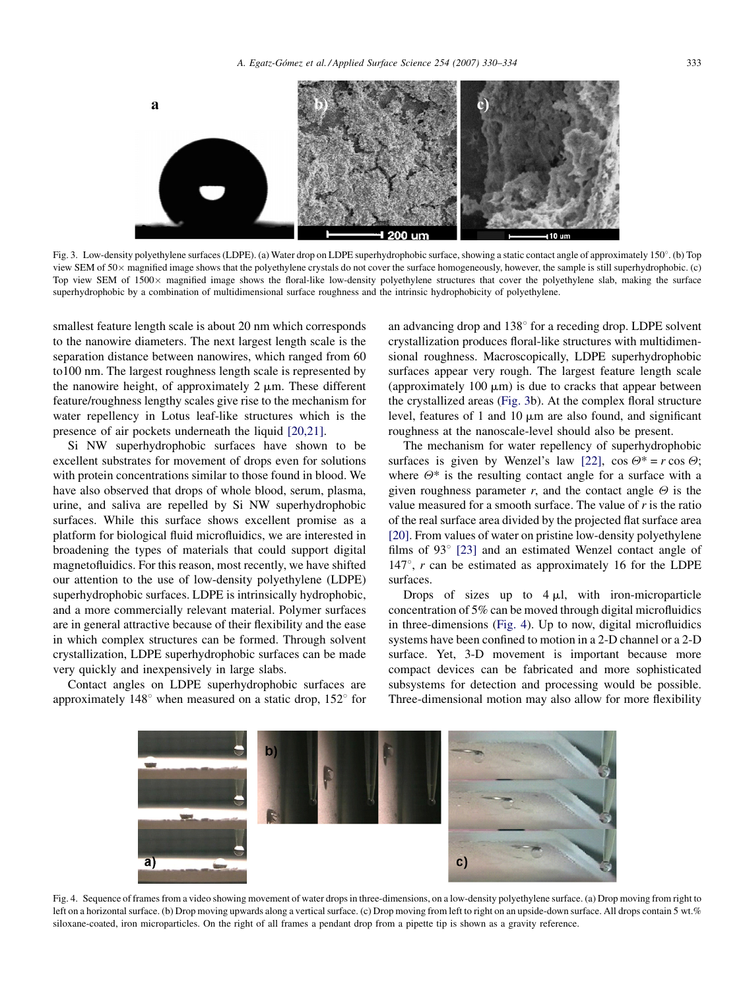<span id="page-3-0"></span>

Fig. 3. Low-density polyethylene surfaces (LDPE). (a) Water drop on LDPE superhydrophobic surface, showing a static contact angle of approximately 150<sup>°</sup>. (b) Top view SEM of 50 magnified image shows that the polyethylene crystals do not cover the surface homogeneously, however, the sample is still superhydrophobic. (c) Top view SEM of  $1500 \times$  magnified image shows the floral-like low-density polyethylene structures that cover the polyethylene slab, making the surface superhydrophobic by a combination of multidimensional surface roughness and the intrinsic hydrophobicity of polyethylene.

smallest feature length scale is about 20 nm which corresponds to the nanowire diameters. The next largest length scale is the separation distance between nanowires, which ranged from 60 to100 nm. The largest roughness length scale is represented by the nanowire height, of approximately  $2 \mu m$ . These different feature/roughness lengthy scales give rise to the mechanism for water repellency in Lotus leaf-like structures which is the presence of air pockets underneath the liquid [\[20,21\].](#page-4-0)

Si NW superhydrophobic surfaces have shown to be excellent substrates for movement of drops even for solutions with protein concentrations similar to those found in blood. We have also observed that drops of whole blood, serum, plasma, urine, and saliva are repelled by Si NW superhydrophobic surfaces. While this surface shows excellent promise as a platform for biological fluid microfluidics, we are interested in broadening the types of materials that could support digital magnetofluidics. For this reason, most recently, we have shifted our attention to the use of low-density polyethylene (LDPE) superhydrophobic surfaces. LDPE is intrinsically hydrophobic, and a more commercially relevant material. Polymer surfaces are in general attractive because of their flexibility and the ease in which complex structures can be formed. Through solvent crystallization, LDPE superhydrophobic surfaces can be made very quickly and inexpensively in large slabs.

Contact angles on LDPE superhydrophobic surfaces are approximately  $148^\circ$  when measured on a static drop,  $152^\circ$  for an advancing drop and  $138^\circ$  for a receding drop. LDPE solvent crystallization produces floral-like structures with multidimensional roughness. Macroscopically, LDPE superhydrophobic surfaces appear very rough. The largest feature length scale (approximately  $100 \mu m$ ) is due to cracks that appear between the crystallized areas (Fig. 3b). At the complex floral structure level, features of 1 and 10  $\mu$ m are also found, and significant roughness at the nanoscale-level should also be present.

The mechanism for water repellency of superhydrophobic surfaces is given by Wenzel's law [\[22\],](#page-4-0)  $\cos \theta^* = r \cos \theta$ ; where  $\Theta^*$  is the resulting contact angle for a surface with a given roughness parameter r, and the contact angle  $\Theta$  is the value measured for a smooth surface. The value of  $r$  is the ratio of the real surface area divided by the projected flat surface area [\[20\]](#page-4-0). From values of water on pristine low-density polyethylene films of  $93^{\circ}$  [\[23\]](#page-4-0) and an estimated Wenzel contact angle of 147 $\degree$ , r can be estimated as approximately 16 for the LDPE surfaces.

Drops of sizes up to  $4 \mu l$ , with iron-microparticle concentration of 5% can be moved through digital microfluidics in three-dimensions (Fig. 4). Up to now, digital microfluidics systems have been confined to motion in a 2-D channel or a 2-D surface. Yet, 3-D movement is important because more compact devices can be fabricated and more sophisticated subsystems for detection and processing would be possible. Three-dimensional motion may also allow for more flexibility



Fig. 4. Sequence of frames from a video showing movement of water drops in three-dimensions, on a low-density polyethylene surface. (a) Drop moving from right to left on a horizontal surface. (b) Drop moving upwards along a vertical surface. (c) Drop moving from left to right on an upside-down surface. All drops contain 5 wt.% siloxane-coated, iron microparticles. On the right of all frames a pendant drop from a pipette tip is shown as a gravity reference.